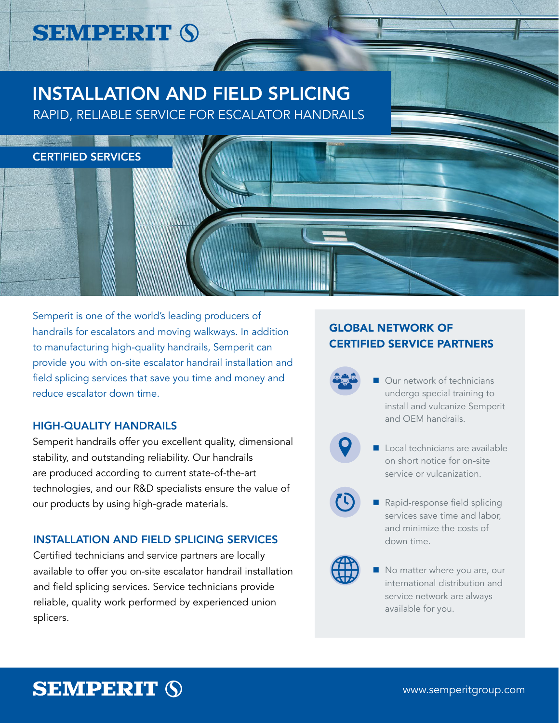# **SEMPERIT (S)**

# INSTALLATION AND FIELD SPLICING

RAPID, RELIABLE SERVICE FOR ESCALATOR HANDRAILS



Semperit is one of the world's leading producers of handrails for escalators and moving walkways. In addition to manufacturing high-quality handrails, Semperit can provide you with on-site escalator handrail installation and field splicing services that save you time and money and reduce escalator down time.

### HIGH-QUALITY HANDRAILS

Semperit handrails offer you excellent quality, dimensional stability, and outstanding reliability. Our handrails are produced according to current state-of-the-art technologies, and our R&D specialists ensure the value of our products by using high-grade materials.

### INSTALLATION AND FIELD SPLICING SERVICES

Certified technicians and service partners are locally available to offer you on-site escalator handrail installation and field splicing services. Service technicians provide reliable, quality work performed by experienced union splicers.

### GLOBAL NETWORK OF CERTIFIED SERVICE PARTNERS

- 
- Our network of technicians undergo special training to install and vulcanize Semperit and OEM handrails.



- Local technicians are available on short notice for on-site service or vulcanization.
- Rapid-response field splicing services save time and labor, and minimize the costs of down time.



 No matter where you are, our international distribution and service network are always available for you.

# **SEMPERIT (S)**